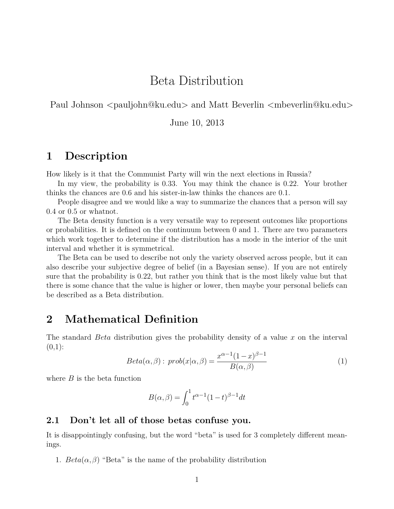## Beta Distribution

Paul Johnson <pauljohn@ku.edu> and Matt Beverlin <mbeverlin@ku.edu>

June 10, 2013

### **1 Description**

How likely is it that the Communist Party will win the next elections in Russia?

In my view, the probability is 0.33. You may think the chance is 0.22. Your brother thinks the chances are 0.6 and his sister-in-law thinks the chances are 0.1.

People disagree and we would like a way to summarize the chances that a person will say 0.4 or 0.5 or whatnot.

The Beta density function is a very versatile way to represent outcomes like proportions or probabilities. It is defined on the continuum between 0 and 1. There are two parameters which work together to determine if the distribution has a mode in the interior of the unit interval and whether it is symmetrical.

The Beta can be used to describe not only the variety observed across people, but it can also describe your subjective degree of belief (in a Bayesian sense). If you are not entirely sure that the probability is 0.22, but rather you think that is the most likely value but that there is some chance that the value is higher or lower, then maybe your personal beliefs can be described as a Beta distribution.

## **2 Mathematical Definition**

The standard *Beta* distribution gives the probability density of a value *x* on the interval  $(0,1)$ :

$$
Beta(\alpha, \beta): prob(x|\alpha, \beta) = \frac{x^{\alpha-1}(1-x)^{\beta-1}}{B(\alpha, \beta)}
$$
(1)

where *B* is the beta function

$$
B(\alpha, \beta) = \int_0^1 t^{\alpha - 1} (1 - t)^{\beta - 1} dt
$$

#### **2.1 Don't let all of those betas confuse you.**

It is disappointingly confusing, but the word "beta" is used for 3 completely different meanings.

1.  $Beta(\alpha, \beta)$  "Beta" is the name of the probability distribution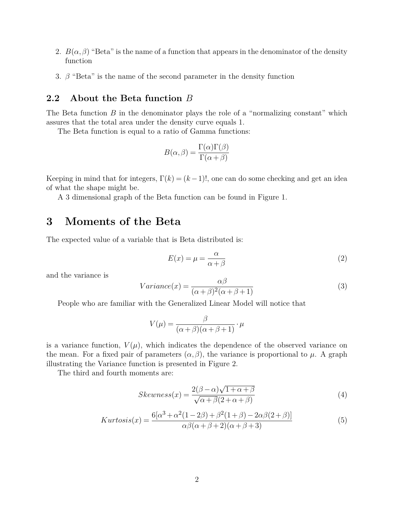- 2.  $B(\alpha, \beta)$  "Beta" is the name of a function that appears in the denominator of the density function
- 3.  $\beta$  "Beta" is the name of the second parameter in the density function

#### **2.2 About the Beta function** *B*

The Beta function  $B$  in the denominator plays the role of a "normalizing constant" which assures that the total area under the density curve equals 1.

The Beta function is equal to a ratio of Gamma functions:

$$
B(\alpha, \beta) = \frac{\Gamma(\alpha)\Gamma(\beta)}{\Gamma(\alpha + \beta)}
$$

Keeping in mind that for integers,  $\Gamma(k) = (k-1)!$ , one can do some checking and get an idea of what the shape might be.

A 3 dimensional graph of the Beta function can be found in Figure 1.

## **3 Moments of the Beta**

The expected value of a variable that is Beta distributed is:

$$
E(x) = \mu = \frac{\alpha}{\alpha + \beta} \tag{2}
$$

and the variance is

$$
Variance(x) = \frac{\alpha \beta}{(\alpha + \beta)^2(\alpha + \beta + 1)}
$$
\n(3)

People who are familiar with the Generalized Linear Model will notice that

$$
V(\mu) = \frac{\beta}{(\alpha + \beta)(\alpha + \beta + 1)} \cdot \mu
$$

is a variance function,  $V(\mu)$ , which indicates the dependence of the observed variance on the mean. For a fixed pair of parameters  $(\alpha, \beta)$ , the variance is proportional to  $\mu$ . A graph illustrating the Variance function is presented in Figure 2.

The third and fourth moments are:

$$
Skewness(x) = \frac{2(\beta - \alpha)\sqrt{1 + \alpha + \beta}}{\sqrt{\alpha + \beta}(2 + \alpha + \beta)}
$$
(4)

$$
Kurtosis(x) = \frac{6[\alpha^3 + \alpha^2(1 - 2\beta) + \beta^2(1 + \beta) - 2\alpha\beta(2 + \beta)]}{\alpha\beta(\alpha + \beta + 2)(\alpha + \beta + 3)}
$$
(5)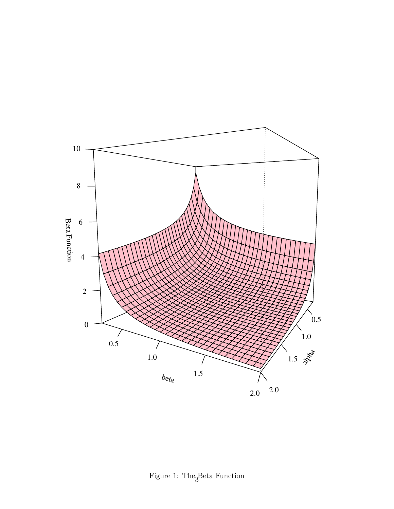

Figure 1: The<br><sub>3</sub>Beta Function  $\,$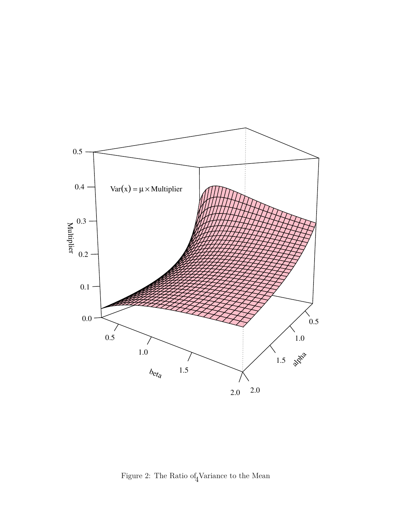

Figure 2: The Ratio of Variance to the Mean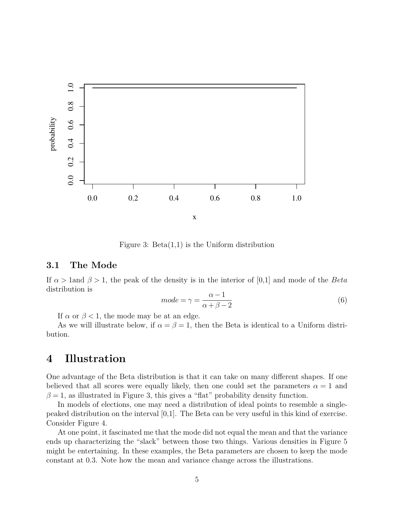

Figure 3:  $Beta(1,1)$  is the Uniform distribution

#### **3.1 The Mode**

If *α >* 1and *β >* 1, the peak of the density is in the interior of [0,1] and mode of the *Beta* distribution is

$$
mode = \gamma = \frac{\alpha - 1}{\alpha + \beta - 2} \tag{6}
$$

If  $\alpha$  or  $\beta$  < 1, the mode may be at an edge.

As we will illustrate below, if  $\alpha = \beta = 1$ , then the Beta is identical to a Uniform distribution.

### **4 Illustration**

One advantage of the Beta distribution is that it can take on many different shapes. If one believed that all scores were equally likely, then one could set the parameters  $\alpha = 1$  and  $\beta = 1$ , as illustrated in Figure 3, this gives a "flat" probability density function.

In models of elections, one may need a distribution of ideal points to resemble a singlepeaked distribution on the interval  $[0,1]$ . The Beta can be very useful in this kind of exercise. Consider Figure 4.

At one point, it fascinated me that the mode did not equal the mean and that the variance ends up characterizing the "slack" between those two things. Various densities in Figure 5 might be entertaining. In these examples, the Beta parameters are chosen to keep the mode constant at 0.3. Note how the mean and variance change across the illustrations.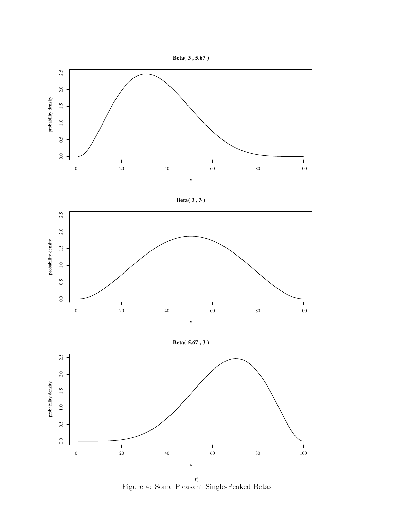



**Beta( 3 , 3 )**



**Beta( 5.67 , 3 )**



Figure 4: Some Pleasant Single-Peaked Betas 6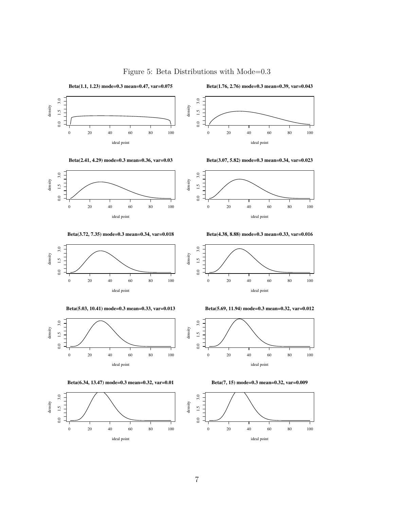

Figure 5: Beta Distributions with Mode=0.3

**Beta(2.41, 4.29) mode=0.3 mean=0.36, var=0.03**

**Beta(1.1, 1.23) mode=0.3 mean=0.47, var=0.075**



**Beta(3.72, 7.35) mode=0.3 mean=0.34, var=0.018**



**Beta(5.03, 10.41) mode=0.3 mean=0.33, var=0.013**



**Beta(6.34, 13.47) mode=0.3 mean=0.32, var=0.01**



**Beta(1.76, 2.76) mode=0.3 mean=0.39, var=0.043**



**Beta(3.07, 5.82) mode=0.3 mean=0.34, var=0.023**



**Beta(4.38, 8.88) mode=0.3 mean=0.33, var=0.016**



**Beta(5.69, 11.94) mode=0.3 mean=0.32, var=0.012**





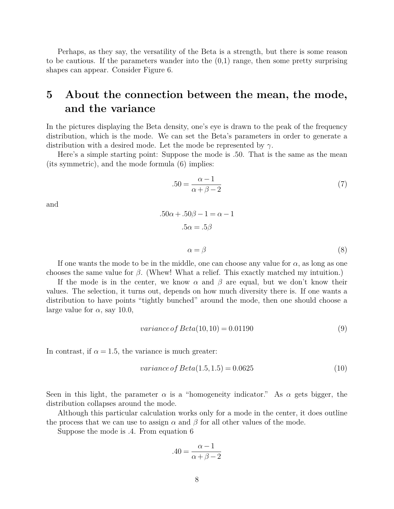Perhaps, as they say, the versatility of the Beta is a strength, but there is some reason to be cautious. If the parameters wander into the  $(0,1)$  range, then some pretty surprising shapes can appear. Consider Figure 6.

# **5 About the connection between the mean, the mode, and the variance**

In the pictures displaying the Beta density, one's eye is drawn to the peak of the frequency distribution, which is the mode. We can set the Beta's parameters in order to generate a distribution with a desired mode. Let the mode be represented by *γ*.

Here's a simple starting point: Suppose the mode is .50. That is the same as the mean (its symmetric), and the mode formula (6) implies:

$$
.50 = \frac{\alpha - 1}{\alpha + \beta - 2} \tag{7}
$$

and

$$
.50\alpha + .50\beta - 1 = \alpha - 1
$$

$$
.5\alpha = .5\beta
$$

$$
\alpha = \beta
$$
(8)

If one wants the mode to be in the middle, one can choose any value for  $\alpha$ , as long as one chooses the same value for *β*. (Whew! What a relief. This exactly matched my intuition.)

If the mode is in the center, we know  $\alpha$  and  $\beta$  are equal, but we don't know their values. The selection, it turns out, depends on how much diversity there is. If one wants a distribution to have points "tightly bunched" around the mode, then one should choose a large value for  $\alpha$ , say 10.0,

$$
variance \, of \, Beta(10, 10) = 0.01190 \tag{9}
$$

In contrast, if  $\alpha = 1.5$ , the variance is much greater:

$$
variance \, of \, Beta(1.5, 1.5) = 0.0625 \tag{10}
$$

Seen in this light, the parameter  $\alpha$  is a "homogeneity indicator." As  $\alpha$  gets bigger, the distribution collapses around the mode.

Although this particular calculation works only for a mode in the center, it does outline the process that we can use to assign  $\alpha$  and  $\beta$  for all other values of the mode.

Suppose the mode is .4. From equation 6

$$
.40 = \frac{\alpha - 1}{\alpha + \beta - 2}
$$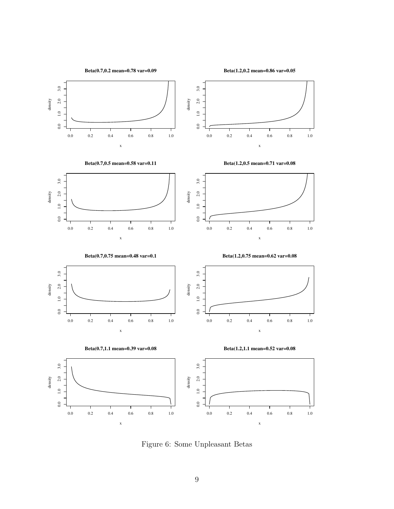

**Beta(1.2,0.2 mean=0.86 var=0.05**



Figure 6: Some Unpleasant Betas